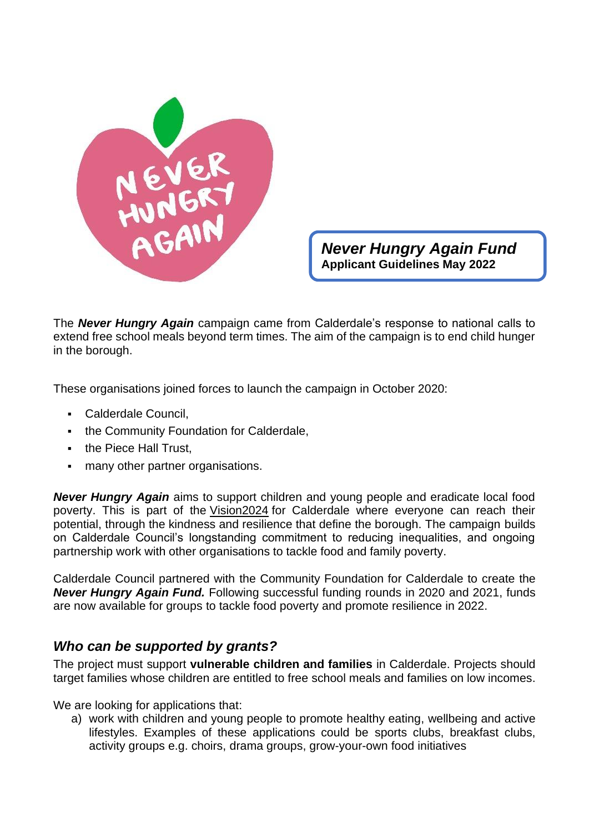

*Never Hungry Again Fund* **Applicant Guidelines May 2022**

The *Never Hungry Again* campaign came from Calderdale's response to national calls to extend free school meals beyond term times. The aim of the campaign is to end child hunger in the borough.

These organisations joined forces to launch the campaign in October 2020:

- Calderdale Council,
- **the Community Foundation for Calderdale,**
- the Piece Hall Trust,
- many other partner organisations.

*Never Hungry Again* aims to support children and young people and eradicate local food poverty. This is part of the [Vision2024](https://www.calderdale.gov.uk/vision/) for Calderdale where everyone can reach their potential, through the kindness and resilience that define the borough. The campaign builds on Calderdale Council's longstanding commitment to reducing inequalities, and ongoing partnership work with other organisations to tackle food and family poverty.

Calderdale Council partnered with the Community Foundation for Calderdale to create the *Never Hungry Again Fund.* Following successful funding rounds in 2020 and 2021, funds are now available for groups to tackle food poverty and promote resilience in 2022.

### *Who can be supported by grants?*

The project must support **vulnerable children and families** in Calderdale. Projects should target families whose children are entitled to free school meals and families on low incomes.

We are looking for applications that:

a) work with children and young people to promote healthy eating, wellbeing and active lifestyles. Examples of these applications could be sports clubs, breakfast clubs, activity groups e.g. choirs, drama groups, grow-your-own food initiatives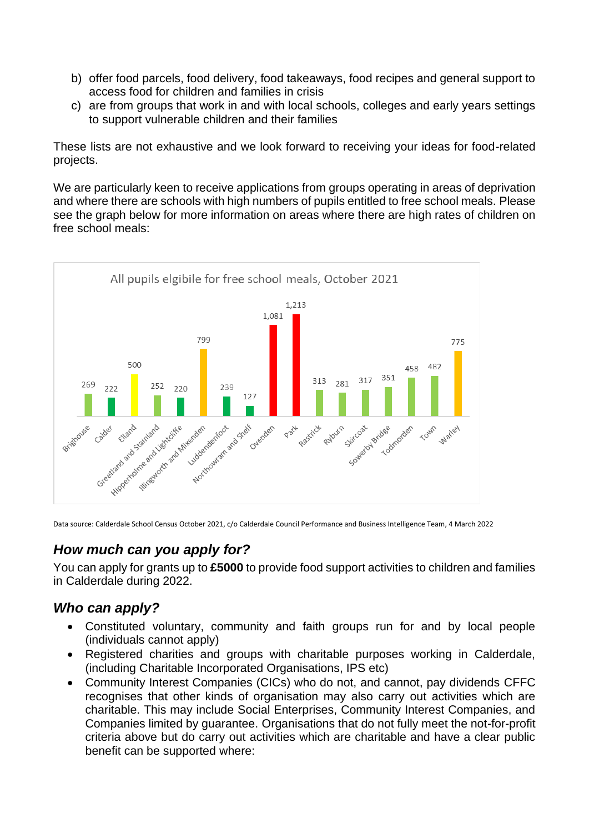- b) offer food parcels, food delivery, food takeaways, food recipes and general support to access food for children and families in crisis
- c) are from groups that work in and with local schools, colleges and early years settings to support vulnerable children and their families

These lists are not exhaustive and we look forward to receiving your ideas for food-related projects.

We are particularly keen to receive applications from groups operating in areas of deprivation and where there are schools with high numbers of pupils entitled to free school meals. Please see the graph below for more information on areas where there are high rates of children on free school meals:



Data source: Calderdale School Census October 2021, c/o Calderdale Council Performance and Business Intelligence Team, 4 March 2022

# *How much can you apply for?*

You can apply for grants up to **£5000** to provide food support activities to children and families in Calderdale during 2022.

## *Who can apply?*

- Constituted voluntary, community and faith groups run for and by local people (individuals cannot apply)
- Registered charities and groups with charitable purposes working in Calderdale, (including Charitable Incorporated Organisations, IPS etc)
- Community Interest Companies (CICs) who do not, and cannot, pay dividends CFFC recognises that other kinds of organisation may also carry out activities which are charitable. This may include Social Enterprises, Community Interest Companies, and Companies limited by guarantee. Organisations that do not fully meet the not-for-profit criteria above but do carry out activities which are charitable and have a clear public benefit can be supported where: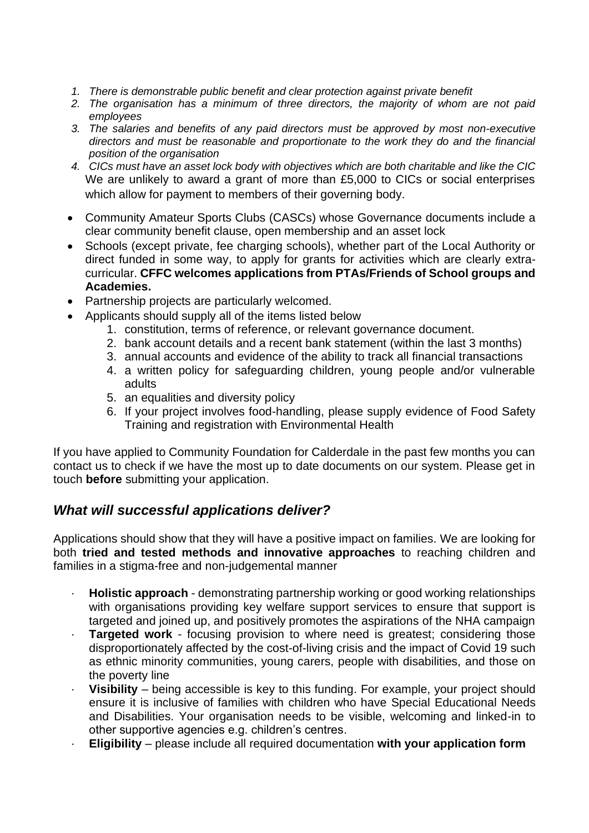- *1. There is demonstrable public benefit and clear protection against private benefit*
- *2. The organisation has a minimum of three directors, the majority of whom are not paid employees*
- *3. The salaries and benefits of any paid directors must be approved by most non-executive directors and must be reasonable and proportionate to the work they do and the financial position of the organisation*
- *4. CICs must have an asset lock body with objectives which are both charitable and like the CIC*  We are unlikely to award a grant of more than £5,000 to CICs or social enterprises which allow for payment to members of their governing body.
- Community Amateur Sports Clubs (CASCs) whose Governance documents include a clear community benefit clause, open membership and an asset lock
- Schools (except private, fee charging schools), whether part of the Local Authority or direct funded in some way, to apply for grants for activities which are clearly extracurricular. **CFFC welcomes applications from PTAs/Friends of School groups and Academies.**
- Partnership projects are particularly welcomed.
- Applicants should supply all of the items listed below
	- 1. constitution, terms of reference, or relevant governance document.
	- 2. bank account details and a recent bank statement (within the last 3 months)
	- 3. annual accounts and evidence of the ability to track all financial transactions
	- 4. a written policy for safeguarding children, young people and/or vulnerable adults
	- 5. an equalities and diversity policy
	- 6. If your project involves food-handling, please supply evidence of Food Safety Training and registration with Environmental Health

If you have applied to Community Foundation for Calderdale in the past few months you can contact us to check if we have the most up to date documents on our system. Please get in touch **before** submitting your application.

### *What will successful applications deliver?*

Applications should show that they will have a positive impact on families. We are looking for both **tried and tested methods and innovative approaches** to reaching children and families in a stigma-free and non-judgemental manner

- **Holistic approach** demonstrating partnership working or good working relationships with organisations providing key welfare support services to ensure that support is targeted and joined up, and positively promotes the aspirations of the NHA campaign
- **Targeted work** focusing provision to where need is greatest; considering those disproportionately affected by the cost-of-living crisis and the impact of Covid 19 such as ethnic minority communities, young carers, people with disabilities, and those on the poverty line
- · **Visibility** being accessible is key to this funding. For example, your project should ensure it is inclusive of families with children who have Special Educational Needs and Disabilities. Your organisation needs to be visible, welcoming and linked-in to other supportive agencies e.g. children's centres.
- · **Eligibility**  please include all required documentation **with your application form**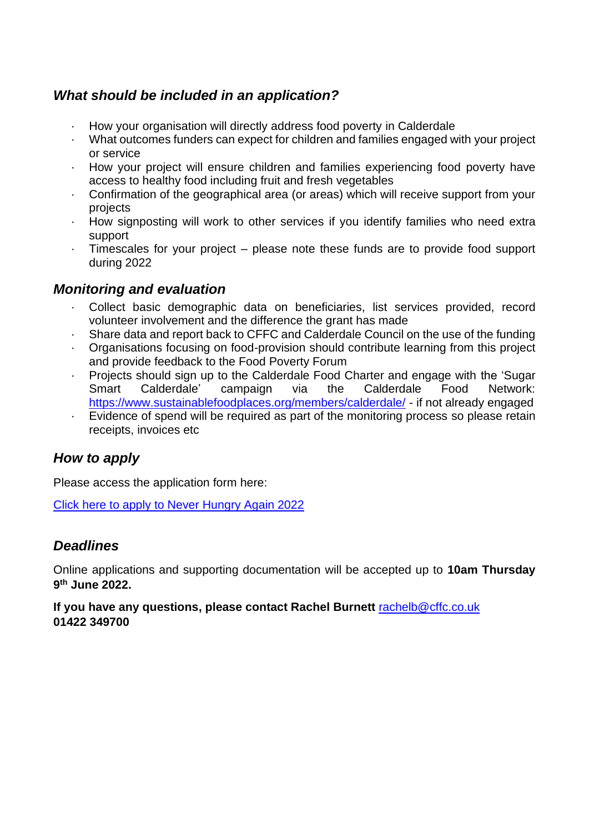## *What should be included in an application?*

- · How your organisation will directly address food poverty in Calderdale
- · What outcomes funders can expect for children and families engaged with your project or service
- · How your project will ensure children and families experiencing food poverty have access to healthy food including fruit and fresh vegetables
- · Confirmation of the geographical area (or areas) which will receive support from your projects
- · How signposting will work to other services if you identify families who need extra support
- · Timescales for your project please note these funds are to provide food support during 2022

### *Monitoring and evaluation*

- · Collect basic demographic data on beneficiaries, list services provided, record volunteer involvement and the difference the grant has made
- · Share data and report back to CFFC and Calderdale Council on the use of the funding
- · Organisations focusing on food-provision should contribute learning from this project and provide feedback to the Food Poverty Forum
- · Projects should sign up to the Calderdale Food Charter and engage with the 'Sugar Smart Calderdale' campaign via the Calderdale Food Network: <https://www.sustainablefoodplaces.org/members/calderdale/> - if not already engaged
- Evidence of spend will be required as part of the monitoring process so please retain receipts, invoices etc

## *How to apply*

Please access the application form here:

[Click here to apply to Never Hungry Again 2022](https://ukcf.secure.force.com/forms/Generalover1500/neverhungryagain)

## *Deadlines*

Online applications and supporting documentation will be accepted up to **10am Thursday 9 th June 2022.** 

**If you have any questions, please contact Rachel Burnett** [rachelb@cffc.co.uk](mailto:rachelb@cffc.co.uk) **01422 349700**